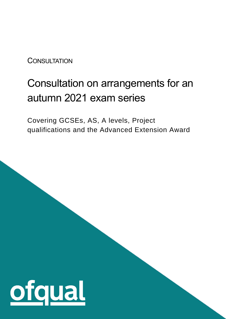**CONSULTATION** 

# Consultation on arrangements for an autumn 2021 exam series

Covering GCSEs, AS, A levels, Project qualifications and the Advanced Extension Award

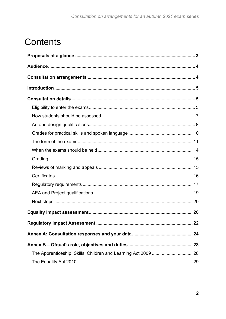# **Contents**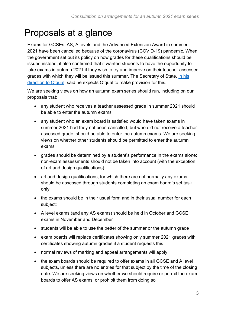# <span id="page-2-0"></span>Proposals at a glance

Exams for GCSEs, AS, A levels and the Advanced Extension Award in summer 2021 have been cancelled because of the coronavirus (COVID-19) pandemic. When the government set out its policy on how grades for these qualifications should be issued instead, it also confirmed that it wanted students to have the opportunity to take exams in autumn 2021 if they wish to try and improve on their teacher assessed grades with which they will be issued this summer. The Secretary of State, [in his](https://www.gov.uk/government/publications/direction-issued-to-ofqual)  [direction to Ofqual,](https://www.gov.uk/government/publications/direction-issued-to-ofqual) said he expects Ofqual to make provision for this.

We are seeking views on how an autumn exam series should run, including on our proposals that:

- any student who receives a teacher assessed grade in summer 2021 should be able to enter the autumn exams
- any student who an exam board is satisfied would have taken exams in summer 2021 had they not been cancelled, but who did not receive a teacher assessed grade, should be able to enter the autumn exams. We are seeking views on whether other students should be permitted to enter the autumn exams
- grades should be determined by a student's performance in the exams alone; non-exam assessments should not be taken into account (with the exception of art and design qualifications)
- art and design qualifications, for which there are not normally any exams, should be assessed through students completing an exam board's set task only
- the exams should be in their usual form and in their usual number for each subject;
- A level exams (and any AS exams) should be held in October and GCSE exams in November and December
- students will be able to use the better of the summer or the autumn grade
- exam boards will replace certificates showing only summer 2021 grades with certificates showing autumn grades if a student requests this
- normal reviews of marking and appeal arrangements will apply
- the exam boards should be required to offer exams in all GCSE and A level subjects, unless there are no entries for that subject by the time of the closing date. We are seeking views on whether we should require or permit the exam boards to offer AS exams, or prohibit them from doing so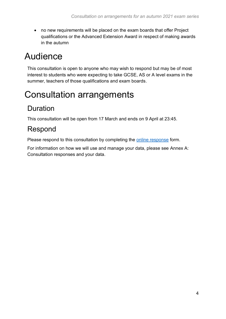• no new requirements will be placed on the exam boards that offer Project qualifications or the Advanced Extension Award in respect of making awards in the autumn

# <span id="page-3-0"></span>Audience

This consultation is open to anyone who may wish to respond but may be of most interest to students who were expecting to take GCSE, AS or A level exams in the summer, teachers of those qualifications and exam boards.

# <span id="page-3-1"></span>Consultation arrangements

# Duration

This consultation will be open from 17 March and ends on 9 April at 23:45.

# Respond

Please respond to this consultation by completing the [online response](http://www.gov.uk/government/consultations/consultation-on-arrangements-for-an-autumn-2021-exam-series) form.

For information on how we will use and manage your data, please see [Annex A:](#page-23-0)  [Consultation responses and your data.](#page-23-0)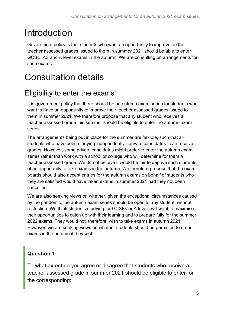# <span id="page-4-0"></span>Introduction

Government policy is that students who want an opportunity to improve on their teacher assessed grades issued to them in summer 2021 should be able to enter GCSE, AS and A level exams in the autumn. We are consulting on arrangements for such exams.

# <span id="page-4-1"></span>Consultation details

## <span id="page-4-2"></span>Eligibility to enter the exams

It is government policy that there should be an autumn exam series for students who want to have an opportunity to improve their teacher assessed grades issued to them in summer 2021. We therefore propose that any student who receives a teacher assessed grade this summer should be eligible to enter the autumn exam series.

The arrangements being put in place for the summer are flexible, such that all students who have been studying independently - private candidates - can receive grades. However, some private candidates might prefer to enter the autumn exam series rather than work with a school or college who will determine for them a teacher assessed grade. We do not believe it would be fair to deprive such students of an opportunity to take exams in the autumn. We therefore propose that the exam boards should also accept entries for the autumn exams on behalf of students who they are satisfied would have taken exams in summer 2021 had they not been cancelled.

We are also seeking views on whether, given the exceptional circumstances caused by the pandemic, the autumn exam series should be open to any student, without restriction. We think students studying for GCSEs or A levels will want to maximise their opportunities to catch up with their learning and to prepare fully for the summer 2022 exams. They would not, therefore, wish to take exams in autumn 2021. However, we are seeking views on whether students should be permitted to enter exams in the autumn if they wish.

#### **Question 1:**

To what extent do you agree or disagree that students who receive a teacher assessed grade in summer 2021 should be eligible to enter for the corresponding: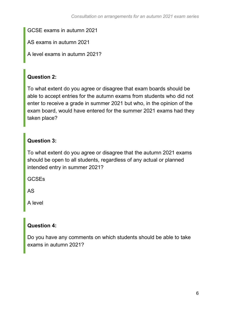GCSE exams in autumn 2021

AS exams in autumn 2021

A level exams in autumn 2021?

#### **Question 2:**

To what extent do you agree or disagree that exam boards should be able to accept entries for the autumn exams from students who did not enter to receive a grade in summer 2021 but who, in the opinion of the exam board, would have entered for the summer 2021 exams had they taken place?

#### **Question 3:**

To what extent do you agree or disagree that the autumn 2021 exams should be open to all students, regardless of any actual or planned intended entry in summer 2021?

**GCSEs** 

AS

A level

#### **Question 4:**

Do you have any comments on which students should be able to take exams in autumn 2021?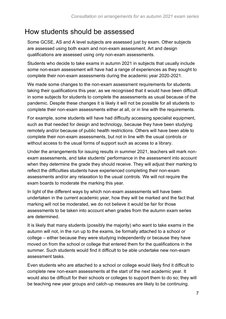## <span id="page-6-0"></span>How students should be assessed

Some GCSE, AS and A level subjects are assessed just by exam. Other subjects are assessed using both exam and non-exam assessment. Art and design qualifications are assessed using only non-exam assessments.

Students who decide to take exams in autumn 2021 in subjects that usually include some non-exam assessment will have had a range of experiences as they sought to complete their non-exam assessments during the academic year 2020-2021.

We made some changes to the non-exam assessment requirements for students taking their qualifications this year, as we recognised that it would have been difficult in some subjects for students to complete the assessments as usual because of the pandemic. Despite these changes it is likely it will not be possible for all students to complete their non-exam assessments either at all, or in line with the requirements.

For example, some students will have had difficulty accessing specialist equipment, such as that needed for design and technology, because they have been studying remotely and/or because of public health restrictions. Others will have been able to complete their non-exam assessments, but not in line with the usual controls or without access to the usual forms of support such as access to a library.

Under the arrangements for issuing results in summer 2021, teachers will mark nonexam assessments, and take students' performance in the assessment into account when they determine the grade they should receive. They will adjust their marking to reflect the difficulties students have experienced completing their non-exam assessments and/or any relaxation to the usual controls. We will not require the exam boards to moderate the marking this year.

In light of the different ways by which non-exam assessments will have been undertaken in the current academic year, how they will be marked and the fact that marking will not be moderated, we do not believe it would be fair for those assessments to be taken into account when grades from the autumn exam series are determined.

It is likely that many students (possibly the majority) who want to take exams in the autumn will not, in the run up to the exams, be formally attached to a school or college – either because they were studying independently or because they have moved on from the school or college that entered them for the qualifications in the summer. Such students would find it difficult to be able undertake new non-exam assessment tasks.

Even students who are attached to a school or college would likely find it difficult to complete new non-exam assessments at the start of the next academic year. It would also be difficult for their schools or colleges to support them to do so; they will be teaching new year groups and catch-up measures are likely to be continuing.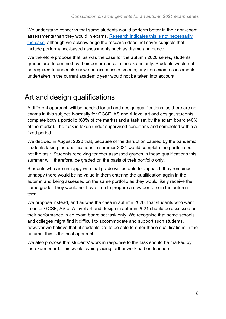We understand concerns that some students would perform better in their non-exam assessments than they would in exams. [Research indicates this is not necessarily](https://www.gov.uk/government/publications/impact-of-coursework-on-attainment-dependent-on-student-characteristics)  [the case,](https://www.gov.uk/government/publications/impact-of-coursework-on-attainment-dependent-on-student-characteristics) although we acknowledge the research does not cover subjects that include performance-based assessments such as drama and dance.

We therefore propose that, as was the case for the autumn 2020 series, students' grades are determined by their performance in the exams only. Students would not be required to undertake new non-exam assessments; any non-exam assessments undertaken in the current academic year would not be taken into account.

## <span id="page-7-0"></span>Art and design qualifications

A different approach will be needed for art and design qualifications, as there are no exams in this subject. Normally for GCSE, AS and A level art and design, students complete both a portfolio (60% of the marks) and a task set by the exam board (40% of the marks). The task is taken under supervised conditions and completed within a fixed period.

We decided in August 2020 that, because of the disruption caused by the pandemic, students taking the qualifications in summer 2021 would complete the portfolio but not the task. Students receiving teacher assessed grades in these qualifications this summer will, therefore, be graded on the basis of their portfolio only.

Students who are unhappy with that grade will be able to appeal. If they remained unhappy there would be no value in them entering the qualification again in the autumn and being assessed on the same portfolio as they would likely receive the same grade. They would not have time to prepare a new portfolio in the autumn term.

We propose instead, and as was the case in autumn 2020, that students who want to enter GCSE, AS or A level art and design in autumn 2021 should be assessed on their performance in an exam board set task only. We recognise that some schools and colleges might find it difficult to accommodate and support such students, however we believe that, if students are to be able to enter these qualifications in the autumn, this is the best approach.

We also propose that students' work in response to the task should be marked by the exam board. This would avoid placing further workload on teachers.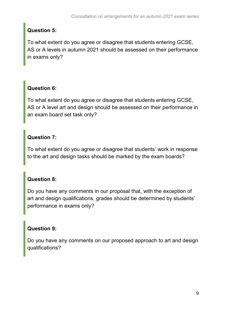#### **Question 5:**

To what extent do you agree or disagree that students entering GCSE, AS or A levels in autumn 2021 should be assessed on their performance in exams only?

#### **Question 6:**

To what extent do you agree or disagree that students entering GCSE, AS or A level art and design should be assessed on their performance in an exam board set task only?

#### **Question 7:**

To what extent do you agree or disagree that students' work in response to the art and design tasks should be marked by the exam boards?

#### **Question 8:**

Do you have any comments in our proposal that, with the exception of art and design qualifications, grades should be determined by students' performance in exams only?

#### **Question 9:**

Do you have any comments on our proposed approach to art and design qualifications?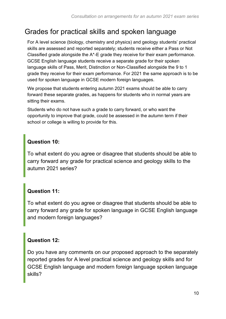# <span id="page-9-0"></span>Grades for practical skills and spoken language

For A level science (biology, chemistry and physics) and geology students' practical skills are assessed and reported separately; students receive either a Pass or Not Classified grade alongside the A\*-E grade they receive for their exam performance. GCSE English language students receive a separate grade for their spoken language skills of Pass, Merit, Distinction or Non-Classified alongside the 9 to 1 grade they receive for their exam performance. For 2021 the same approach is to be used for spoken language in GCSE modern foreign languages.

We propose that students entering autumn 2021 exams should be able to carry forward these separate grades, as happens for students who in normal years are sitting their exams.

Students who do not have such a grade to carry forward, or who want the opportunity to improve that grade, could be assessed in the autumn term if their school or college is willing to provide for this.

#### **Question 10:**

To what extent do you agree or disagree that students should be able to carry forward any grade for practical science and geology skills to the autumn 2021 series?

#### **Question 11:**

To what extent do you agree or disagree that students should be able to carry forward any grade for spoken language in GCSE English language and modern foreign languages?

#### **Question 12:**

Do you have any comments on our proposed approach to the separately reported grades for A level practical science and geology skills and for GCSE English language and modern foreign language spoken language skills?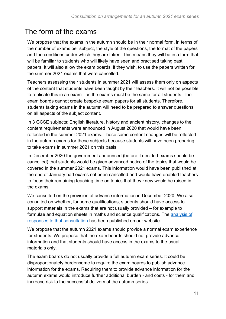# <span id="page-10-0"></span>The form of the exams

We propose that the exams in the autumn should be in their normal form, in terms of the number of exams per subject, the style of the questions, the format of the papers and the conditions under which they are taken. This means they will be in a form that will be familiar to students who will likely have seen and practised taking past papers. It will also allow the exam boards, if they wish, to use the papers written for the summer 2021 exams that were cancelled.

Teachers assessing their students in summer 2021 will assess them only on aspects of the content that students have been taught by their teachers. It will not be possible to replicate this in an exam - as the exams must be the same for all students. The exam boards cannot create bespoke exam papers for all students. Therefore, students taking exams in the autumn will need to be prepared to answer questions on all aspects of the subject content.

In 3 GCSE subjects: English literature, history and ancient history, changes to the content requirements were announced in August 2020 that would have been reflected in the summer 2021 exams. These same content changes will be reflected in the autumn exams for these subjects because students will have been preparing to take exams in summer 2021 on this basis.

In December 2020 the government announced (before it decided exams should be cancelled) that students would be given advanced notice of the topics that would be covered in the summer 2021 exams. This information would have been published at the end of January had exams not been cancelled and would have enabled teachers to focus their remaining teaching time on topics that they knew would be raised in the exams.

We consulted on the provision of advance information in December 2020. We also consulted on whether, for some qualifications, students should have access to support materials in the exams that are not usually provided – for example to formulae and equation sheets in maths and science qualifications. The [analysis of](https://www.gov.uk/government/consultations/support-materials-and-advance-information-in-2021-gcse-as-and-a-level-exams)  [responses to that consultation](https://www.gov.uk/government/consultations/support-materials-and-advance-information-in-2021-gcse-as-and-a-level-exams) has been published on our website.

We propose that the autumn 2021 exams should provide a normal exam experience for students. We propose that the exam boards should not provide advance information and that students should have access in the exams to the usual materials only.

The exam boards do not usually provide a full autumn exam series. It could be disproportionately burdensome to require the exam boards to publish advance information for the exams. Requiring them to provide advance information for the autumn exams would introduce further additional burden - and costs - for them and increase risk to the successful delivery of the autumn series.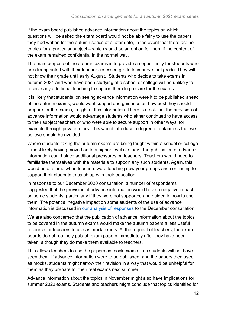If the exam board published advance information about the topics on which questions will be asked the exam board would not be able fairly to use the papers they had written for the autumn series at a later date, in the event that there are no entries for a particular subject – which would be an option for them if the content of the exam remained confidential in the normal way.

The main purpose of the autumn exams is to provide an opportunity for students who are disappointed with their teacher assessed grade to improve that grade. They will not know their grade until early August. Students who decide to take exams in autumn 2021 and who have been studying at a school or college will be unlikely to receive any additional teaching to support them to prepare for the exams.

It is likely that students, on seeing advance information were it to be published ahead of the autumn exams, would want support and guidance on how best they should prepare for the exams, in light of this information. There is a risk that the provision of advance information would advantage students who either continued to have access to their subject teachers or who were able to secure support in other ways, for example through private tutors. This would introduce a degree of unfairness that we believe should be avoided.

Where students taking the autumn exams are being taught within a school or college – most likely having moved on to a higher level of study - the publication of advance information could place additional pressures on teachers. Teachers would need to familiarise themselves with the materials to support any such students. Again, this would be at a time when teachers were teaching new year groups and continuing to support their students to catch up with their education.

In response to our December 2020 consultation, a number of respondents suggested that the provision of advance information would have a negative impact on some students, particularly if they were not supported and guided in how to use them. The potential negative impact on some students of the use of advance information is discussed in [our analysis of responses](https://www.gov.uk/government/consultations/support-materials-and-advance-information-in-2021-gcse-as-and-a-level-exams) to the December consultation.

We are also concerned that the publication of advance information about the topics to be covered in the autumn exams would make the autumn papers a less useful resource for teachers to use as mock exams. At the request of teachers, the exam boards do not routinely publish exam papers immediately after they have been taken, although they do make them available to teachers.

This allows teachers to use the papers as mock exams – as students will not have seen them. If advance information were to be published, and the papers then used as mocks, students might narrow their revision in a way that would be unhelpful for them as they prepare for their real exams next summer.

Advance information about the topics in November might also have implications for summer 2022 exams. Students and teachers might conclude that topics identified for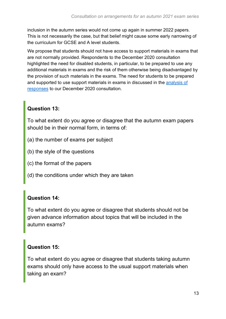inclusion in the autumn series would not come up again in summer 2022 papers. This is not necessarily the case, but that belief might cause some early narrowing of the curriculum for GCSE and A level students.

We propose that students should not have access to support materials in exams that are not normally provided. Respondents to the December 2020 consultation highlighted the need for disabled students, in particular, to be prepared to use any additional materials in exams and the risk of them otherwise being disadvantaged by the provision of such materials in the exams. The need for students to be prepared and supported to use support materials in exams in discussed in the [analysis of](https://www.gov.uk/government/consultations/support-materials-and-advance-information-in-2021-gcse-as-and-a-level-exams)  [responses](https://www.gov.uk/government/consultations/support-materials-and-advance-information-in-2021-gcse-as-and-a-level-exams) to our December 2020 consultation.

#### **Question 13:**

To what extent do you agree or disagree that the autumn exam papers should be in their normal form, in terms of:

- (a) the number of exams per subject
- (b) the style of the questions
- (c) the format of the papers
- (d) the conditions under which they are taken

#### **Question 14:**

To what extent do you agree or disagree that students should not be given advance information about topics that will be included in the autumn exams?

#### **Question 15:**

To what extent do you agree or disagree that students taking autumn exams should only have access to the usual support materials when taking an exam?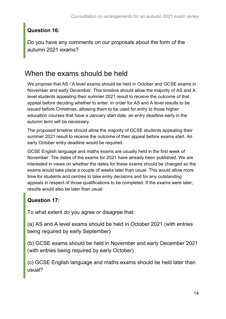#### **Question 16:**

Do you have any comments on our proposals about the form of the autumn 2021 exams?

# <span id="page-13-0"></span>When the exams should be held

We propose that AS / A level exams should be held in October and GCSE exams in November and early December. This timeline should allow the majority of AS and A level students appealing their summer 2021 result to receive the outcome of that appeal before deciding whether to enter. In order for AS and A level results to be issued before Christmas, allowing them to be used for entry to those higher education courses that have a January start date, an entry deadline early in the autumn term will be necessary.

The proposed timeline should allow the majority of GCSE students appealing their summer 2021 result to receive the outcome of their appeal before exams start. An early October entry deadline would be required.

GCSE English language and maths exams are usually held in the first week of November. The dates of the exams for 2021 have already been published. We are interested in views on whether the dates for these exams should be changed so the exams would take place a couple of weeks later than usual. This would allow more time for students and centres to take entry decisions and for any outstanding appeals in respect of those qualifications to be completed. If the exams were later, results would also be later than usual.

#### **Question 17:**

To what extent do you agree or disagree that:

(a) AS and A level exams should be held in October 2021 (with entries being required by early September)

(b) GCSE exams should be held in November and early December 2021 (with entries being required by early October)

(c) GCSE English language and maths exams should be held later than usual?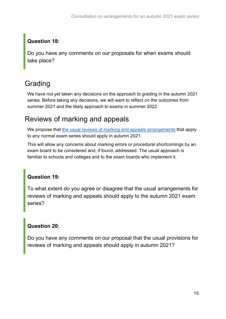#### **Question 18:**

Do you have any comments on our proposals for when exams should take place?

# <span id="page-14-0"></span>Grading

We have not yet taken any decisions on the approach to grading in the autumn 2021 series. Before taking any decisions, we will want to reflect on the outcomes from summer 2021 and the likely approach to exams in summer 2022.

## <span id="page-14-1"></span>Reviews of marking and appeals

We propose that [the usual reviews of marking and appeals arrangements](https://www.gov.uk/guidance/regulating-gcses-as-and-a-levels-guide-for-schools-and-colleges/reviews-and-appeals) that apply to any normal exam series should apply in autumn 2021.

This will allow any concerns about marking errors or procedural shortcomings by an exam board to be considered and, if found, addressed. The usual approach is familiar to schools and colleges and to the exam boards who implement it.

#### **Question 19:**

To what extent do you agree or disagree that the usual arrangements for reviews of marking and appeals should apply to the autumn 2021 exam series?

#### **Question 20:**

Do you have any comments on our proposal that the usual provisions for reviews of marking and appeals should apply in autumn 2021?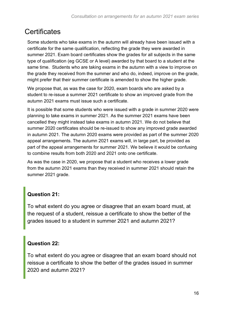# <span id="page-15-0"></span>**Certificates**

Some students who take exams in the autumn will already have been issued with a certificate for the same qualification, reflecting the grade they were awarded in summer 2021. Exam board certificates show the grades for all subjects in the same type of qualification (eg GCSE or A level) awarded by that board to a student at the same time. Students who are taking exams in the autumn with a view to improve on the grade they received from the summer and who do, indeed, improve on the grade, might prefer that their summer certificate is amended to show the higher grade.

We propose that, as was the case for 2020, exam boards who are asked by a student to re-issue a summer 2021 certificate to show an improved grade from the autumn 2021 exams must issue such a certificate.

It is possible that some students who were issued with a grade in summer 2020 were planning to take exams in summer 2021. As the summer 2021 exams have been cancelled they might instead take exams in autumn 2021. We do not believe that summer 2020 certificates should be re-issued to show any improved grade awarded in autumn 2021. The autumn 2020 exams were provided as part of the summer 2020 appeal arrangements. The autumn 2021 exams will, in large part, be provided as part of the appeal arrangements for summer 2021. We believe it would be confusing to combine results from both 2020 and 2021 onto one certificate.

As was the case in 2020, we propose that a student who receives a lower grade from the autumn 2021 exams than they received in summer 2021 should retain the summer 2021 grade.

#### **Question 21:**

To what extent do you agree or disagree that an exam board must, at the request of a student, reissue a certificate to show the better of the grades issued to a student in summer 2021 and autumn 2021?

#### **Question 22:**

To what extent do you agree or disagree that an exam board should not reissue a certificate to show the better of the grades issued in summer 2020 and autumn 2021?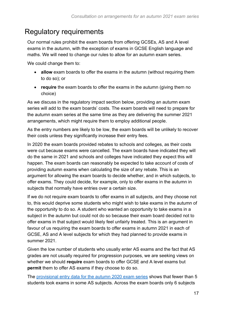## <span id="page-16-0"></span>Regulatory requirements

Our normal rules prohibit the exam boards from offering GCSEs, AS and A level exams in the autumn, with the exception of exams in GCSE English language and maths. We will need to change our rules to allow for an autumn exam series.

We could change them to:

- **allow** exam boards to offer the exams in the autumn (without requiring them to do so); or
- **require** the exam boards to offer the exams in the autumn (giving them no choice)

As we discuss in the regulatory impact section below, providing an autumn exam series will add to the exam boards' costs. The exam boards will need to prepare for the autumn exam series at the same time as they are delivering the summer 2021 arrangements, which might require them to employ additional people.

As the entry numbers are likely to be low, the exam boards will be unlikely to recover their costs unless they significantly increase their entry fees.

In 2020 the exam boards provided rebates to schools and colleges, as their costs were cut because exams were cancelled. The exam boards have indicated they will do the same in 2021 and schools and colleges have indicated they expect this will happen. The exam boards can reasonably be expected to take account of costs of providing autumn exams when calculating the size of any rebate. This is an argument for allowing the exam boards to decide whether, and in which subjects, to offer exams. They could decide, for example, only to offer exams in the autumn in subjects that normally have entries over a certain size.

If we do not require exam boards to offer exams in all subjects, and they choose not to, this would deprive some students who might wish to take exams in the autumn of the opportunity to do so. A student who wanted an opportunity to take exams in a subject in the autumn but could not do so because their exam board decided not to offer exams in that subject would likely feel unfairly treated. This is an argument in favour of us requiring the exam boards to offer exams in autumn 2021 in each of GCSE, AS and A level subjects for which they had planned to provide exams in summer 2021.

Given the low number of students who usually enter AS exams and the fact that AS grades are not usually required for progression purposes, we are seeking views on whether we should **require** exam boards to offer GCSE and A level exams but **permit** them to offer AS exams if they choose to do so.

The provisional entry data for [the autumn 2020 exam series](https://www.gov.uk/government/statistics/entries-for-as-and-a-level-autumn-2020-exam-series) shows that fewer than 5 students took exams in some AS subjects. Across the exam boards only 6 subjects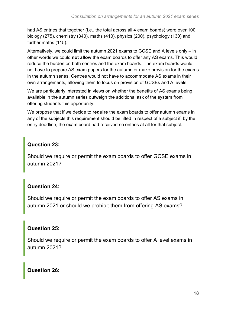had AS entries that together (i.e., the total across all 4 exam boards) were over 100: biology (275), chemistry (340), maths (410), physics (200), psychology (130) and further maths (115).

Alternatively, we could limit the autumn 2021 exams to GCSE and A levels only – in other words we could **not allow** the exam boards to offer any AS exams. This would reduce the burden on both centres and the exam boards. The exam boards would not have to prepare AS exam papers for the autumn or make provision for the exams in the autumn series. Centres would not have to accommodate AS exams in their own arrangements, allowing them to focus on provision of GCSEs and A levels.

We are particularly interested in views on whether the benefits of AS exams being available in the autumn series outweigh the additional ask of the system from offering students this opportunity.

We propose that if we decide to **require** the exam boards to offer autumn exams in any of the subjects this requirement should be lifted in respect of a subject if, by the entry deadline, the exam board had received no entries at all for that subject.

#### **Question 23:**

Should we require or permit the exam boards to offer GCSE exams in autumn 2021?

#### **Question 24:**

Should we require or permit the exam boards to offer AS exams in autumn 2021 or should we prohibit them from offering AS exams?

#### **Question 25:**

Should we require or permit the exam boards to offer A level exams in autumn 2021?

#### **Question 26:**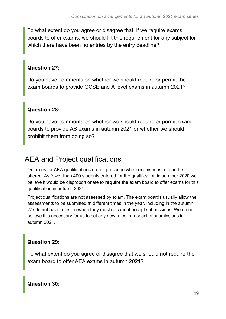To what extent do you agree or disagree that, if we require exams boards to offer exams, we should lift this requirement for any subject for which there have been no entries by the entry deadline?

#### **Question 27:**

Do you have comments on whether we should require or permit the exam boards to provide GCSE and A level exams in autumn 2021?

#### **Question 28:**

Do you have comments on whether we should require or permit exam boards to provide AS exams in autumn 2021 or whether we should prohibit them from doing so?

# <span id="page-18-0"></span>AEA and Project qualifications

Our rules for AEA qualifications do not prescribe when exams must or can be offered. As fewer than 400 students entered for the qualification in summer 2020 we believe it would be disproportionate to **require** the exam board to offer exams for this qualification in autumn 2021.

Project qualifications are not assessed by exam. The exam boards usually allow the assessments to be submitted at different times in the year, including in the autumn. We do not have rules on when they must or cannot accept submissions. We do not believe it is necessary for us to set any new rules in respect of submissions in autumn 2021.

#### **Question 29:**

To what extent do you agree or disagree that we should not require the exam board to offer AEA exams in autumn 2021?

**Question 30:**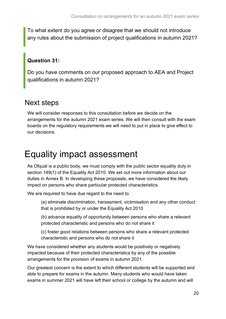To what extent do you agree or disagree that we should not introduce any rules about the submission of project qualifications in autumn 2021?

#### **Question 31:**

Do you have comments on our proposed approach to AEA and Project qualifications in autumn 2021?

## <span id="page-19-0"></span>Next steps

We will consider responses to this consultation before we decide on the arrangements for the autumn 2021 exam series. We will then consult with the exam boards on the regulatory requirements we will need to put in place to give effect to our decisions.

# <span id="page-19-1"></span>Equality impact assessment

As Ofqual is a public body, we must comply with the public sector equality duty in section 149(1) of the Equality Act 2010. We set out more information about our duties in Annex B. In developing these proposals, we have considered the likely impact on persons who share particular protected characteristics.

We are required to have due regard to the need to:

(a) eliminate discrimination, harassment, victimisation and any other conduct that is prohibited by or under the Equality Act 2010

(b) advance equality of opportunity between persons who share a relevant protected characteristic and persons who do not share it

(c) foster good relations between persons who share a relevant protected characteristic and persons who do not share it

We have considered whether any students would be positively or negatively impacted because of their protected characteristics by any of the possible arrangements for the provision of exams in autumn 2021.

Our greatest concern is the extent to which different students will be supported and able to prepare for exams in the autumn. Many students who would have taken exams in summer 2021 will have left their school or college by the autumn and will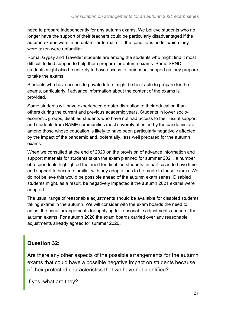need to prepare independently for any autumn exams. We believe students who no longer have the support of their teachers could be particularly disadvantaged if the autumn exams were in an unfamiliar format or if the conditions under which they were taken were unfamiliar.

Roma, Gypsy and Traveller students are among the students who might find it most difficult to find support to help them prepare for autumn exams. Some SEND students might also be unlikely to have access to their usual support as they prepare to take the exams.

Students who have access to private tutors might be best able to prepare for the exams, particularly if advance information about the content of the exams is provided.

Some students will have experienced greater disruption to their education than others during the current and previous academic years. Students in lower socioeconomic groups, disabled students who have not had access to their usual support and students from BAME communities most severely affected by the pandemic are among those whose education is likely to have been particularly negatively affected by the impact of the pandemic and, potentially, less well prepared for the autumn exams.

When we consulted at the end of 2020 on the provision of advance information and support materials for students taken the exam planned for summer 2021, a number of respondents highlighted the need for disabled students, in particular, to have time and support to become familiar with any adaptations to be made to those exams. We do not believe this would be possible ahead of the autumn exam series. Disabled students might, as a result, be negatively impacted if the autumn 2021 exams were adapted.

The usual range of reasonable adjustments should be available for disabled students taking exams in the autumn. We will consider with the exam boards the need to adjust the usual arrangements for applying for reasonable adjustments ahead of the autumn exams. For autumn 2020 the exam boards carried over any reasonable adjustments already agreed for summer 2020.

#### **Question 32:**

Are there any other aspects of the possible arrangements for the autumn exams that could have a possible negative impact on students because of their protected characteristics that we have not identified?

If yes, what are they?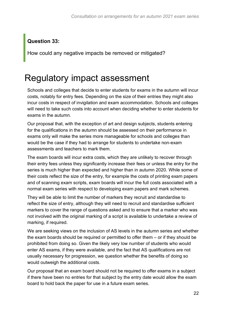#### **Question 33:**

How could any negative impacts be removed or mitigated?

# <span id="page-21-0"></span>Regulatory impact assessment

Schools and colleges that decide to enter students for exams in the autumn will incur costs, notably for entry fees. Depending on the size of their entries they might also incur costs in respect of invigilation and exam accommodation. Schools and colleges will need to take such costs into account when deciding whether to enter students for exams in the autumn.

Our proposal that, with the exception of art and design subjects, students entering for the qualifications in the autumn should be assessed on their performance in exams only will make the series more manageable for schools and colleges than would be the case if they had to arrange for students to undertake non-exam assessments and teachers to mark them.

The exam boards will incur extra costs, which they are unlikely to recover through their entry fees unless they significantly increase their fees or unless the entry for the series is much higher than expected and higher than in autumn 2020. While some of their costs reflect the size of the entry, for example the costs of printing exam papers and of scanning exam scripts, exam boards will incur the full costs associated with a normal exam series with respect to developing exam papers and mark schemes.

They will be able to limit the number of markers they recruit and standardise to reflect the size of entry, although they will need to recruit and standardise sufficient markers to cover the range of questions asked and to ensure that a marker who was not involved with the original marking of a script is available to undertake a review of marking, if required.

We are seeking views on the inclusion of AS levels in the autumn series and whether the exam boards should be required or permitted to offer them – or if they should be prohibited from doing so. Given the likely very low number of students who would enter AS exams, if they were available, and the fact that AS qualifications are not usually necessary for progression, we question whether the benefits of doing so would outweigh the additional costs.

Our proposal that an exam board should not be required to offer exams in a subject if there have been no entries for that subject by the entry date would allow the exam board to hold back the paper for use in a future exam series.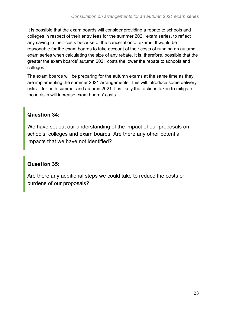It is possible that the exam boards will consider providing a rebate to schools and colleges in respect of their entry fees for the summer 2021 exam series, to reflect any saving in their costs because of the cancellation of exams. It would be reasonable for the exam boards to take account of their costs of running an autumn exam series when calculating the size of any rebate. It is, therefore, possible that the greater the exam boards' autumn 2021 costs the lower the rebate to schools and colleges.

The exam boards will be preparing for the autumn exams at the same time as they are implementing the summer 2021 arrangements. This will introduce some delivery risks – for both summer and autumn 2021. It is likely that actions taken to mitigate those risks will increase exam boards' costs.

#### **Question 34:**

We have set out our understanding of the impact of our proposals on schools, colleges and exam boards. Are there any other potential impacts that we have not identified?

#### **Question 35:**

Are there any additional steps we could take to reduce the costs or burdens of our proposals?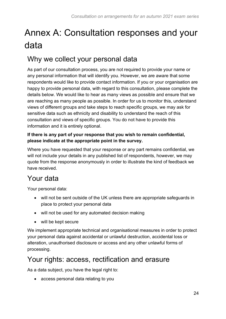# <span id="page-23-0"></span>Annex A: Consultation responses and your data

# Why we collect your personal data

As part of our consultation process, you are not required to provide your name or any personal information that will identify you. However, we are aware that some respondents would like to provide contact information. If you or your organisation are happy to provide personal data, with regard to this consultation, please complete the details below. We would like to hear as many views as possible and ensure that we are reaching as many people as possible. In order for us to monitor this, understand views of different groups and take steps to reach specific groups, we may ask for sensitive data such as ethnicity and disability to understand the reach of this consultation and views of specific groups. You do not have to provide this information and it is entirely optional.

#### **If there is any part of your response that you wish to remain confidential, please indicate at the appropriate point in the survey.**

Where you have requested that your response or any part remains confidential, we will not include your details in any published list of respondents, however, we may quote from the response anonymously in order to illustrate the kind of feedback we have received.

# Your data

Your personal data:

- will not be sent outside of the UK unless there are appropriate safeguards in place to protect your personal data
- will not be used for any automated decision making
- will be kept secure

We implement appropriate technical and organisational measures in order to protect your personal data against accidental or unlawful destruction, accidental loss or alteration, unauthorised disclosure or access and any other unlawful forms of processing.

## Your rights: access, rectification and erasure

As a data subject, you have the legal right to:

• access personal data relating to you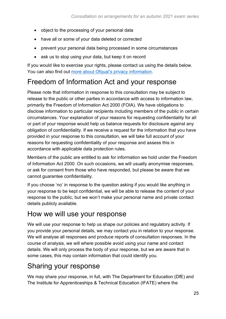- object to the processing of your personal data
- have all or some of your data deleted or corrected
- prevent your personal data being processed in some circumstances
- ask us to stop using your data, but keep it on record

If you would like to exercise your rights, please contact us using the details below. You can also find out [more about Ofqual's privacy information.](https://www.gov.uk/government/organisations/ofqual/about/personal-information-charter)

# Freedom of Information Act and your response

Please note that information in response to this consultation may be subject to release to the public or other parties in accordance with access to information law, primarily the Freedom of Information Act 2000 (FOIA). We have obligations to disclose information to particular recipients including members of the public in certain circumstances. Your explanation of your reasons for requesting confidentiality for all or part of your response would help us balance requests for disclosure against any obligation of confidentiality. If we receive a request for the information that you have provided in your response to this consultation, we will take full account of your reasons for requesting confidentiality of your response and assess this in accordance with applicable data protection rules.

Members of the public are entitled to ask for information we hold under the Freedom of Information Act 2000. On such occasions, we will usually anonymise responses, or ask for consent from those who have responded, but please be aware that we cannot guarantee confidentiality.

If you choose 'no' in response to the question asking if you would like anything in your response to be kept confidential, we will be able to release the content of your response to the public, but we won't make your personal name and private contact details publicly available.

## How we will use your response

We will use your response to help us shape our policies and regulatory activity. If you provide your personal details, we may contact you in relation to your response. We will analyse all responses and produce reports of consultation responses. In the course of analysis, we will where possible avoid using your name and contact details. We will only process the body of your response, but we are aware that in some cases, this may contain information that could identify you.

## Sharing your response

We may share your response, in full, with The Department for Education (DfE) and The Institute for Apprenticeships & Technical Education (IFATE) where the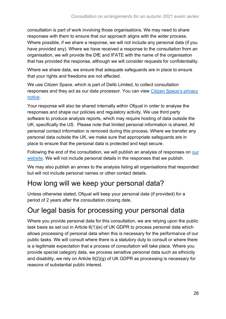consultation is part of work involving those organisations. We may need to share responses with them to ensure that our approach aligns with the wider process. Where possible, if we share a response, we will not include any personal data (if you have provided any). Where we have received a response to the consultation from an organisation, we will provide the DfE and IFATE with the name of the organisation that has provided the response, although we will consider requests for confidentiality.

Where we share data, we ensure that adequate safeguards are in place to ensure that your rights and freedoms are not affected.

We use Citizen Space, which is part of Delib Limited, to collect consultation responses and they act as our data processor. You can view [Citizen Space's privacy](https://app.citizenspace.com/privacy_policy/)  [notice.](https://app.citizenspace.com/privacy_policy/)

Your response will also be shared internally within Ofqual in order to analyse the responses and shape our policies and regulatory activity. We use third party software to produce analysis reports, which may require hosting of data outside the UK, specifically the US. Please note that limited personal information is shared. All personal contact information is removed during this process. Where we transfer any personal data outside the UK, we make sure that appropriate safeguards are in place to ensure that the personal data is protected and kept secure.

Following the end of the consultation, we will publish an analysis of responses on [our](https://www.gov.uk/ofqual)  [website.](https://www.gov.uk/ofqual) We will not include personal details in the responses that we publish.

We may also publish an annex to the analysis listing all organisations that responded but will not include personal names or other contact details.

## How long will we keep your personal data?

Unless otherwise stated, Ofqual will keep your personal data (if provided) for a period of 2 years after the consultation closing date.

## Our legal basis for processing your personal data

Where you provide personal data for this consultation, we are relying upon the public task basis as set out in Article 6(1)(e) of UK GDPR to process personal data which allows processing of personal data when this is necessary for the performance of our public tasks. We will consult where there is a statutory duty to consult or where there is a legitimate expectation that a process of consultation will take place. Where you provide special category data, we process sensitive personal data such as ethnicity and disability, we rely on Article 9(2)(g) of UK GDPR as processing is necessary for reasons of substantial public interest.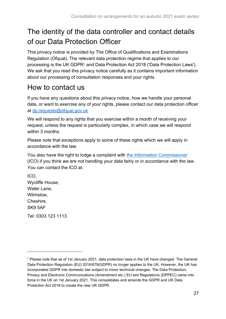# The identity of the data controller and contact details of our Data Protection Officer

This privacy notice is provided by The Office of Qualifications and Examinations Regulation (Ofqual). The relevant data protection regime that applies to our processing is the UK GDPR<sup>1</sup> and Data Protection Act 2018 ('Data Protection Laws'). We ask that you read this privacy notice carefully as it contains important information about our processing of consultation responses and your rights.

## How to contact us

If you have any questions about this privacy notice, how we handle your personal data, or want to exercise any of your rights, please contact our data protection officer at [dp.requests@ofqual.gov.uk](mailto:dp.requests@ofqual.gov.uk)

We will respond to any rights that you exercise within a month of receiving your request, unless the request is particularly complex, in which case we will respond within 3 months.

Please note that exceptions apply to some of these rights which we will apply in accordance with the law.

You also have the right to lodge a complaint with [the Information Commissioner](https://ico.org.uk/) (ICO) if you think we are not handling your data fairly or in accordance with the law. You can contact the ICO at:

ICO, Wycliffe House, Water Lane, Wilmslow, Cheshire, SK9 5AF

Tel: 0303 123 1113

<sup>1</sup> Please note that as of 1st January 2021, data protection laws in the UK have changed. The General Data Protection Regulation (EU) 2016/679(GDPR) no longer applies to the UK. However, the UK has incorporated GDPR into domestic law subject to minor technical changes. The Data Protection, Privacy and Electronic Communications (Amendment etc.) EU exit Regulations (DPPEC) came into force in the UK on 1st January 2021. This consolidates and amends the GDPR and UK Data Protection Act 2018 to create the new UK GDPR.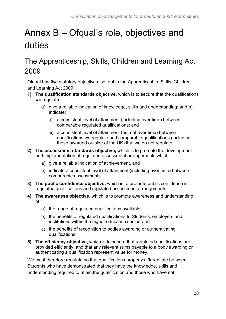# <span id="page-27-0"></span>Annex B – Ofqual's role, objectives and duties

# <span id="page-27-1"></span>The Apprenticeship, Skills, Children and Learning Act 2009

Ofqual has five statutory objectives, set out in the Apprenticeship, Skills, Children and Learning Act 2009;

- **1) The qualification standards objective**, which is to secure that the qualifications we regulate:
	- a) give a reliable indication of knowledge, skills and understanding; and b) indicate:
		- i) a consistent level of attainment (including over time) between comparable regulated qualifications; and
		- ii) a consistent level of attainment (but not over time) between qualifications we regulate and comparable qualifications (including those awarded outside of the UK) that we do not regulate
- **2) The assessment standards objective,** which is to promote the development and implementation of regulated assessment arrangements which:
	- a) give a reliable indication of achievement, and
	- b) indicate a consistent level of attainment (including over time) between comparable assessments
- **3) The public confidence objective,** which is to promote public confidence in regulated qualifications and regulated assessment arrangements
- **4) The awareness objective,** which is to promote awareness and understanding of:
	- a) the range of regulated qualifications available,
	- b) the benefits of regulated qualifications to Students, employers and institutions within the higher education sector, and
	- c) the benefits of recognition to bodies awarding or authenticating qualifications
- **5) The efficiency objective,** which is to secure that regulated qualifications are provided efficiently, and that any relevant sums payable to a body awarding or authenticating a qualification represent value for money.

We must therefore regulate so that qualifications properly differentiate between Students who have demonstrated that they have the knowledge, skills and understanding required to attain the qualification and those who have not.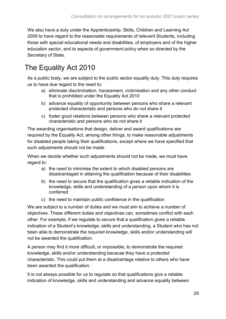We also have a duty under the Apprenticeship, Skills, Children and Learning Act 2009 to have regard to the reasonable requirements of relevant Students, including those with special educational needs and disabilities, of employers and of the higher education sector, and to aspects of government policy when so directed by the Secretary of State.

# <span id="page-28-0"></span>The Equality Act 2010

As a public body, we are subject to the public sector equality duty. This duty requires us to have due regard to the need to:

- a) eliminate discrimination, harassment, victimisation and any other conduct that is prohibited under the Equality Act 2010
- b) advance equality of opportunity between persons who share a relevant protected characteristic and persons who do not share it
- c) foster good relations between persons who share a relevant protected characteristic and persons who do not share it

The awarding organisations that design, deliver and award qualifications are required by the Equality Act, among other things, to make reasonable adjustments for disabled people taking their qualifications, except where we have specified that such adjustments should not be made.

When we decide whether such adjustments should not be made, we must have regard to:

- a) the need to minimise the extent to which disabled persons are disadvantaged in attaining the qualification because of their disabilities
- b) the need to secure that the qualification gives a reliable indication of the knowledge, skills and understanding of a person upon whom it is conferred
- c) the need to maintain public confidence in the qualification

We are subject to a number of duties and we must aim to achieve a number of objectives. These different duties and objectives can, sometimes conflict with each other. For example, if we regulate to secure that a qualification gives a reliable indication of a Student's knowledge, skills and understanding, a Student who has not been able to demonstrate the required knowledge, skills and/or understanding will not be awarded the qualification.

A person may find it more difficult, or impossible, to demonstrate the required knowledge, skills and/or understanding because they have a protected characteristic. This could put them at a disadvantage relative to others who have been awarded the qualification.

It is not always possible for us to regulate so that qualifications give a reliable indication of knowledge, skills and understanding and advance equality between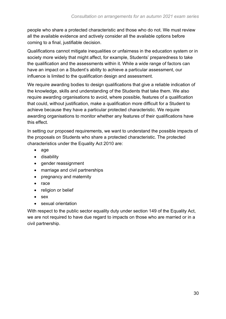people who share a protected characteristic and those who do not. We must review all the available evidence and actively consider all the available options before coming to a final, justifiable decision.

Qualifications cannot mitigate inequalities or unfairness in the education system or in society more widely that might affect, for example, Students' preparedness to take the qualification and the assessments within it. While a wide range of factors can have an impact on a Student's ability to achieve a particular assessment, our influence is limited to the qualification design and assessment.

We require awarding bodies to design qualifications that give a reliable indication of the knowledge, skills and understanding of the Students that take them. We also require awarding organisations to avoid, where possible, features of a qualification that could, without justification, make a qualification more difficult for a Student to achieve because they have a particular protected characteristic. We require awarding organisations to monitor whether any features of their qualifications have this effect.

In setting our proposed requirements, we want to understand the possible impacts of the proposals on Students who share a protected characteristic. The protected characteristics under the Equality Act 2010 are:

- age
- disability
- gender reassignment
- marriage and civil partnerships
- pregnancy and maternity
- race
- religion or belief
- sex
- sexual orientation

With respect to the public sector equality duty under section 149 of the Equality Act, we are not required to have due regard to impacts on those who are married or in a civil partnership.